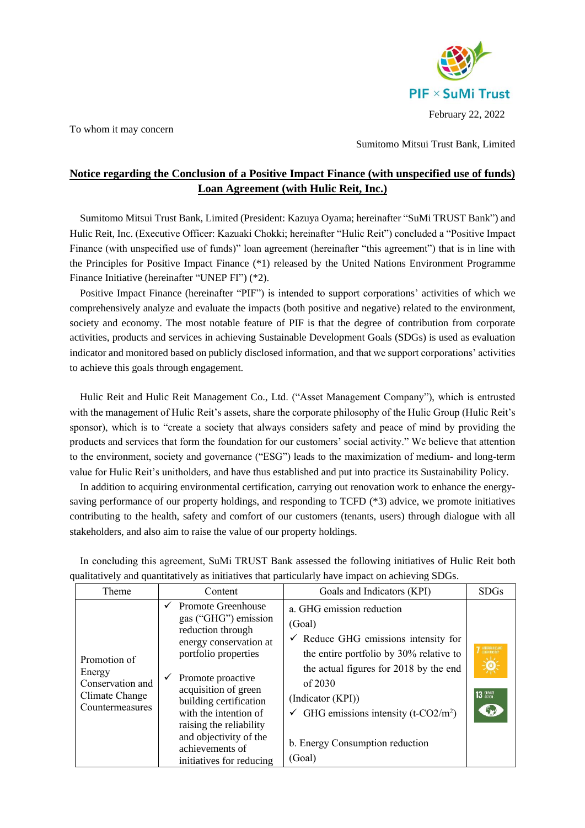

To whom it may concern

Sumitomo Mitsui Trust Bank, Limited

## **Notice regarding the Conclusion of a Positive Impact Finance (with unspecified use of funds) Loan Agreement (with Hulic Reit, Inc.)**

Sumitomo Mitsui Trust Bank, Limited (President: Kazuya Oyama; hereinafter "SuMi TRUST Bank") and Hulic Reit, Inc. (Executive Officer: Kazuaki Chokki; hereinafter "Hulic Reit") concluded a "Positive Impact Finance (with unspecified use of funds)" loan agreement (hereinafter "this agreement") that is in line with the Principles for Positive Impact Finance (\*1) released by the United Nations Environment Programme Finance Initiative (hereinafter "UNEP FI") (\*2).

Positive Impact Finance (hereinafter "PIF") is intended to support corporations' activities of which we comprehensively analyze and evaluate the impacts (both positive and negative) related to the environment, society and economy. The most notable feature of PIF is that the degree of contribution from corporate activities, products and services in achieving Sustainable Development Goals (SDGs) is used as evaluation indicator and monitored based on publicly disclosed information, and that we support corporations' activities to achieve this goals through engagement.

Hulic Reit and Hulic Reit Management Co., Ltd. ("Asset Management Company"), which is entrusted with the management of Hulic Reit's assets, share the corporate philosophy of the Hulic Group (Hulic Reit's sponsor), which is to "create a society that always considers safety and peace of mind by providing the products and services that form the foundation for our customers' social activity." We believe that attention to the environment, society and governance ("ESG") leads to the maximization of medium- and long-term value for Hulic Reit's unitholders, and have thus established and put into practice its Sustainability Policy.

In addition to acquiring environmental certification, carrying out renovation work to enhance the energysaving performance of our property holdings, and responding to TCFD (\*3) advice, we promote initiatives contributing to the health, safety and comfort of our customers (tenants, users) through dialogue with all stakeholders, and also aim to raise the value of our property holdings.

| Theme                                                                           | Content                                                                                                                                                                                                                                                                                                                    | Goals and Indicators (KPI)                                                                                                                                                                                                                                                                                                 | <b>SDGs</b>                                                                       |
|---------------------------------------------------------------------------------|----------------------------------------------------------------------------------------------------------------------------------------------------------------------------------------------------------------------------------------------------------------------------------------------------------------------------|----------------------------------------------------------------------------------------------------------------------------------------------------------------------------------------------------------------------------------------------------------------------------------------------------------------------------|-----------------------------------------------------------------------------------|
| Promotion of<br>Energy<br>Conservation and<br>Climate Change<br>Countermeasures | Promote Greenhouse<br>gas ("GHG") emission<br>reduction through<br>energy conservation at<br>portfolio properties<br>Promote proactive<br>✓<br>acquisition of green<br>building certification<br>with the intention of<br>raising the reliability<br>and objectivity of the<br>achievements of<br>initiatives for reducing | a. GHG emission reduction<br>(Goal)<br>$\checkmark$ Reduce GHG emissions intensity for<br>the entire portfolio by 30% relative to<br>the actual figures for 2018 by the end<br>of $2030$<br>(Indicator (KPI))<br>$\checkmark$ GHG emissions intensity (t-CO2/m <sup>2</sup> )<br>b. Energy Consumption reduction<br>(Goal) | <b>7</b> AFFORDABLE AN<br><b>ic</b><br>$13 \frac{\text{cyan}}{\text{cplan}}$<br>G |

In concluding this agreement, SuMi TRUST Bank assessed the following initiatives of Hulic Reit both qualitatively and quantitatively as initiatives that particularly have impact on achieving SDGs.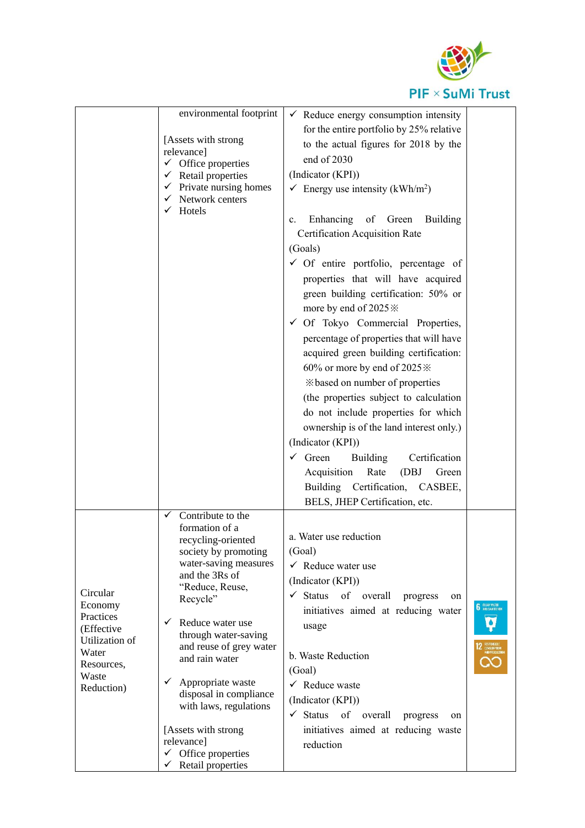

|                         | environmental footprint                                                                              |                                                                                 |                      |
|-------------------------|------------------------------------------------------------------------------------------------------|---------------------------------------------------------------------------------|----------------------|
|                         |                                                                                                      | $\checkmark$ Reduce energy consumption intensity                                |                      |
|                         | [Assets with strong]                                                                                 | for the entire portfolio by 25% relative                                        |                      |
|                         | relevance]                                                                                           | to the actual figures for 2018 by the                                           |                      |
|                         | $\checkmark$ Office properties                                                                       | end of 2030                                                                     |                      |
|                         | $\checkmark$ Retail properties<br>$\checkmark$ Private nursing homes<br>$\checkmark$ Network centers | (Indicator (KPI))                                                               |                      |
|                         |                                                                                                      | Energy use intensity (kWh/m <sup>2</sup> )                                      |                      |
|                         | $\checkmark$ Hotels                                                                                  | Enhancing of Green Building<br>$\mathbf{c}$ .<br>Certification Acquisition Rate |                      |
|                         |                                                                                                      | (Goals)                                                                         |                      |
|                         |                                                                                                      | $\checkmark$ Of entire portfolio, percentage of                                 |                      |
|                         |                                                                                                      | properties that will have acquired                                              |                      |
|                         |                                                                                                      | green building certification: 50% or                                            |                      |
|                         |                                                                                                      | more by end of 2025 $\%$                                                        |                      |
|                         |                                                                                                      | $\checkmark$ Of Tokyo Commercial Properties,                                    |                      |
|                         |                                                                                                      | percentage of properties that will have                                         |                      |
|                         |                                                                                                      | acquired green building certification:                                          |                      |
|                         |                                                                                                      | 60% or more by end of 2025 *                                                    |                      |
|                         |                                                                                                      | *based on number of properties                                                  |                      |
|                         |                                                                                                      | (the properties subject to calculation                                          |                      |
|                         |                                                                                                      | do not include properties for which                                             |                      |
|                         |                                                                                                      | ownership is of the land interest only.)                                        |                      |
|                         |                                                                                                      | (Indicator (KPI))                                                               |                      |
|                         |                                                                                                      | Green<br><b>Building</b><br>Certification<br>✓                                  |                      |
|                         |                                                                                                      | Acquisition<br>Rate<br>(DBJ<br>Green                                            |                      |
|                         |                                                                                                      | Building Certification, CASBEE,                                                 |                      |
|                         |                                                                                                      | BELS, JHEP Certification, etc.                                                  |                      |
|                         | Contribute to the<br>✓                                                                               |                                                                                 |                      |
|                         | formation of a<br>recycling-oriented                                                                 | a. Water use reduction                                                          |                      |
|                         | society by promoting                                                                                 | (Goal)                                                                          |                      |
|                         | water-saving measures                                                                                | $\checkmark$ Reduce water use                                                   |                      |
|                         | and the 3Rs of                                                                                       | (Indicator (KPI))                                                               |                      |
| Circular                | "Reduce, Reuse,<br>Recycle"                                                                          | Status<br>of overall<br>✓<br>progress<br>on                                     |                      |
| Economy                 |                                                                                                      | initiatives aimed at reducing water                                             | <b>6</b> SEEAN WATER |
| Practices<br>(Effective | Reduce water use<br>$\checkmark$                                                                     | usage                                                                           |                      |
| Utilization of          | through water-saving                                                                                 |                                                                                 |                      |
| Water                   | and reuse of grey water<br>and rain water                                                            | b. Waste Reduction                                                              |                      |
| Resources,              |                                                                                                      | (Goal)                                                                          |                      |
| Waste<br>Reduction)     | Appropriate waste<br>✓                                                                               | $\checkmark$ Reduce waste                                                       |                      |
|                         | disposal in compliance<br>with laws, regulations                                                     | (Indicator (KPI))                                                               |                      |
|                         |                                                                                                      | $\checkmark$ Status<br>of overall<br>progress<br>on                             |                      |
|                         | [Assets with strong]                                                                                 | initiatives aimed at reducing waste                                             |                      |
|                         | relevance]                                                                                           | reduction                                                                       |                      |
|                         | $\checkmark$ Office properties<br>Retail properties<br>✓                                             |                                                                                 |                      |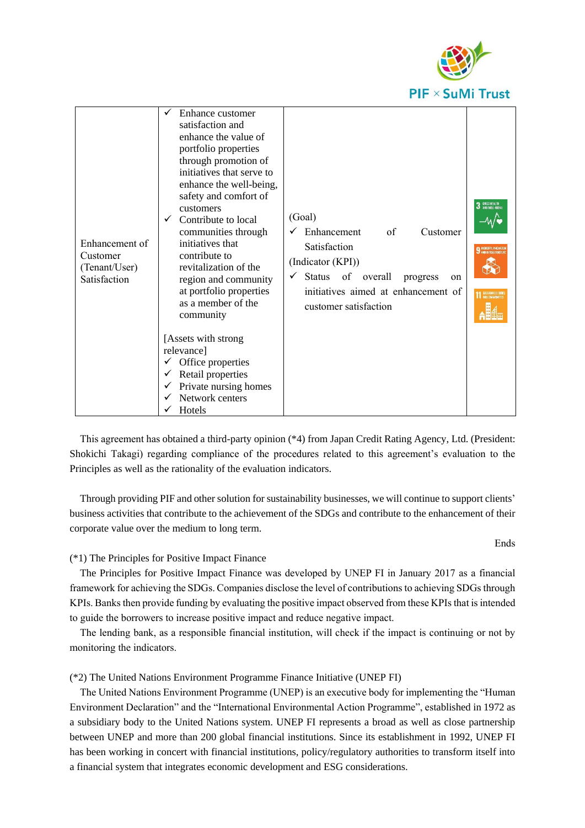

| Enhancement of<br>Customer<br>(Tenant/User)<br>Satisfaction | Enhance customer<br>satisfaction and<br>enhance the value of<br>portfolio properties<br>through promotion of<br>initiatives that serve to<br>enhance the well-being,<br>safety and comfort of<br>customers<br>Contribute to local<br>$\checkmark$<br>communities through<br>initiatives that<br>contribute to<br>revitalization of the<br>region and community<br>at portfolio properties<br>as a member of the<br>community<br>[Assets with strong]<br>relevance]<br>Office properties<br>Retail properties<br>Private nursing homes<br>Network centers<br>Hotels | (Goal)<br>Enhancement<br>of<br>Customer<br>Satisfaction<br>(Indicator (KPI))<br>Status<br>of overall<br>$\checkmark$<br>progress<br>on<br>initiatives aimed at enhancement of<br>customer satisfaction | <b>6000 HEALTH</b><br>AND WELL-BEL<br><b>NOUSDRY INVENIOR</b> |
|-------------------------------------------------------------|--------------------------------------------------------------------------------------------------------------------------------------------------------------------------------------------------------------------------------------------------------------------------------------------------------------------------------------------------------------------------------------------------------------------------------------------------------------------------------------------------------------------------------------------------------------------|--------------------------------------------------------------------------------------------------------------------------------------------------------------------------------------------------------|---------------------------------------------------------------|
|-------------------------------------------------------------|--------------------------------------------------------------------------------------------------------------------------------------------------------------------------------------------------------------------------------------------------------------------------------------------------------------------------------------------------------------------------------------------------------------------------------------------------------------------------------------------------------------------------------------------------------------------|--------------------------------------------------------------------------------------------------------------------------------------------------------------------------------------------------------|---------------------------------------------------------------|

This agreement has obtained a third-party opinion (\*4) from Japan Credit Rating Agency, Ltd. (President: Shokichi Takagi) regarding compliance of the procedures related to this agreement's evaluation to the Principles as well as the rationality of the evaluation indicators.

Through providing PIF and other solution for sustainability businesses, we will continue to support clients' business activities that contribute to the achievement of the SDGs and contribute to the enhancement of their corporate value over the medium to long term.

## (\*1) The Principles for Positive Impact Finance

The Principles for Positive Impact Finance was developed by UNEP FI in January 2017 as a financial framework for achieving the SDGs. Companies disclose the level of contributions to achieving SDGs through KPIs. Banks then provide funding by evaluating the positive impact observed from these KPIs that is intended to guide the borrowers to increase positive impact and reduce negative impact.

The lending bank, as a responsible financial institution, will check if the impact is continuing or not by monitoring the indicators.

## (\*2) The United Nations Environment Programme Finance Initiative (UNEP FI)

The United Nations Environment Programme (UNEP) is an executive body for implementing the "Human Environment Declaration" and the "International Environmental Action Programme", established in 1972 as a subsidiary body to the United Nations system. UNEP FI represents a broad as well as close partnership between UNEP and more than 200 global financial institutions. Since its establishment in 1992, UNEP FI has been working in concert with financial institutions, policy/regulatory authorities to transform itself into a financial system that integrates economic development and ESG considerations.

Ends